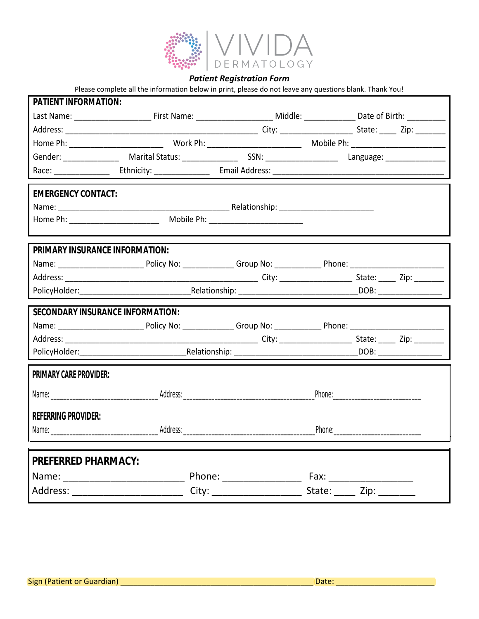

*Patient Registration Form*

|                                  | Please complete all the information below in print, please do not leave any questions blank. Thank You!                                                                                                                             |                                                                                                                                                                                                                                |  |
|----------------------------------|-------------------------------------------------------------------------------------------------------------------------------------------------------------------------------------------------------------------------------------|--------------------------------------------------------------------------------------------------------------------------------------------------------------------------------------------------------------------------------|--|
| PATIENT INFORMATION:             |                                                                                                                                                                                                                                     |                                                                                                                                                                                                                                |  |
|                                  | Last Name: _____________________________First Name: ________________________________Middle: ______________________Date of Birth: ______________                                                                                     |                                                                                                                                                                                                                                |  |
|                                  |                                                                                                                                                                                                                                     |                                                                                                                                                                                                                                |  |
|                                  |                                                                                                                                                                                                                                     |                                                                                                                                                                                                                                |  |
| Gender: ______________           |                                                                                                                                                                                                                                     |                                                                                                                                                                                                                                |  |
|                                  |                                                                                                                                                                                                                                     |                                                                                                                                                                                                                                |  |
|                                  |                                                                                                                                                                                                                                     |                                                                                                                                                                                                                                |  |
| <b>EMERGENCY CONTACT:</b>        |                                                                                                                                                                                                                                     |                                                                                                                                                                                                                                |  |
|                                  |                                                                                                                                                                                                                                     |                                                                                                                                                                                                                                |  |
|                                  |                                                                                                                                                                                                                                     |                                                                                                                                                                                                                                |  |
|                                  |                                                                                                                                                                                                                                     |                                                                                                                                                                                                                                |  |
| PRIMARY INSURANCE INFORMATION:   |                                                                                                                                                                                                                                     |                                                                                                                                                                                                                                |  |
|                                  |                                                                                                                                                                                                                                     |                                                                                                                                                                                                                                |  |
|                                  |                                                                                                                                                                                                                                     |                                                                                                                                                                                                                                |  |
|                                  |                                                                                                                                                                                                                                     |                                                                                                                                                                                                                                |  |
| SECONDARY INSURANCE INFORMATION: |                                                                                                                                                                                                                                     |                                                                                                                                                                                                                                |  |
|                                  |                                                                                                                                                                                                                                     |                                                                                                                                                                                                                                |  |
|                                  |                                                                                                                                                                                                                                     |                                                                                                                                                                                                                                |  |
|                                  |                                                                                                                                                                                                                                     |                                                                                                                                                                                                                                |  |
| PRIMARY CARE PROVIDER:           |                                                                                                                                                                                                                                     |                                                                                                                                                                                                                                |  |
|                                  |                                                                                                                                                                                                                                     |                                                                                                                                                                                                                                |  |
|                                  |                                                                                                                                                                                                                                     |                                                                                                                                                                                                                                |  |
| <b>REFERRING PROVIDER:</b>       |                                                                                                                                                                                                                                     |                                                                                                                                                                                                                                |  |
|                                  | Name: <u>Address:</u> Address: Address: Address: Address: Address: Address: Address: Address: Address: Address: Address: Address: Address: Address: Address: Address: Address: Address: Address: Address: Address: Address: Address | Phone: The contract of the contract of the contract of the contract of the contract of the contract of the contract of the contract of the contract of the contract of the contract of the contract of the contract of the con |  |
|                                  |                                                                                                                                                                                                                                     |                                                                                                                                                                                                                                |  |
|                                  |                                                                                                                                                                                                                                     |                                                                                                                                                                                                                                |  |
| PREFERRED PHARMACY:              |                                                                                                                                                                                                                                     |                                                                                                                                                                                                                                |  |
|                                  | Phone: ___________________                                                                                                                                                                                                          |                                                                                                                                                                                                                                |  |
|                                  |                                                                                                                                                                                                                                     |                                                                                                                                                                                                                                |  |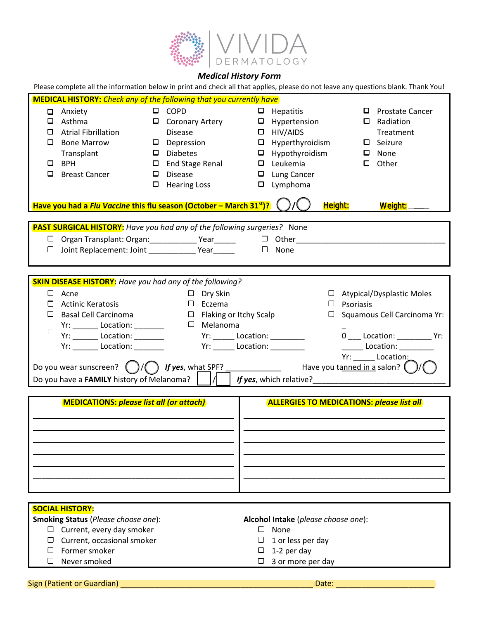

### *Medical History Form*

Please complete all the information below in print and check all that applies, please do not leave any questions blank. Thank You!

|   | <b>MEDICAL HISTORY:</b> Check any of the following that you currently have             |   |                                  |        |                                                                                                                                                                                                                                               |                  |        |                                  |
|---|----------------------------------------------------------------------------------------|---|----------------------------------|--------|-----------------------------------------------------------------------------------------------------------------------------------------------------------------------------------------------------------------------------------------------|------------------|--------|----------------------------------|
|   | □ Anxiety                                                                              |   | $\Box$ COPD                      |        | $\Box$ Hepatitis                                                                                                                                                                                                                              |                  |        | $\Box$ Prostate Cancer           |
|   | $\Box$ Asthma                                                                          |   | $\Box$ Coronary Artery           |        | $\Box$ Hypertension                                                                                                                                                                                                                           |                  | $\Box$ | Radiation                        |
| □ | <b>Atrial Fibrillation</b>                                                             |   | <b>Disease</b>                   |        | $\Box$ HIV/AIDS                                                                                                                                                                                                                               |                  |        | Treatment                        |
| 0 | <b>Bone Marrow</b>                                                                     |   | $\Box$ Depression                |        | $\Box$ Hyperthyroidism                                                                                                                                                                                                                        |                  |        | $\Box$ Seizure                   |
|   | Transplant                                                                             |   | $\Box$ Diabetes                  |        | $\Box$ Hypothyroidism                                                                                                                                                                                                                         |                  |        | $\Box$ None                      |
|   | $\Box$ BPH                                                                             |   | $\Box$ End Stage Renal           |        | $\Box$ Leukemia                                                                                                                                                                                                                               |                  | 0      | Other                            |
| 0 | <b>Breast Cancer</b>                                                                   | 0 | <b>Disease</b>                   |        | $\Box$ Lung Cancer                                                                                                                                                                                                                            |                  |        |                                  |
|   |                                                                                        |   | $\Box$ Hearing Loss              |        | $\square$ Lymphoma                                                                                                                                                                                                                            |                  |        |                                  |
|   |                                                                                        |   |                                  |        |                                                                                                                                                                                                                                               |                  |        |                                  |
|   | Have you had a Flu Vaccine this flu season (October - March 31st)?                     |   |                                  |        |                                                                                                                                                                                                                                               |                  |        | Height: Weight:                  |
|   | <b>PAST SURGICAL HISTORY:</b> Have you had any of the following surgeries? None        |   |                                  |        |                                                                                                                                                                                                                                               |                  |        |                                  |
|   | Organ Transplant: Organ: ______________ Year_______ □ Other_                           |   |                                  |        |                                                                                                                                                                                                                                               |                  |        |                                  |
|   | $\Box$ Joint Replacement: Joint Year $\Box$ None                                       |   |                                  |        |                                                                                                                                                                                                                                               |                  |        |                                  |
|   |                                                                                        |   |                                  |        |                                                                                                                                                                                                                                               |                  |        |                                  |
|   |                                                                                        |   |                                  |        |                                                                                                                                                                                                                                               |                  |        |                                  |
|   | <b>SKIN DISEASE HISTORY:</b> Have you had any of the following?                        |   |                                  |        |                                                                                                                                                                                                                                               |                  |        |                                  |
|   | $\Box$ Acne                                                                            |   | $\Box$ Dry Skin                  |        |                                                                                                                                                                                                                                               |                  |        | $\Box$ Atypical/Dysplastic Moles |
| П | <b>Actinic Keratosis</b>                                                               |   | $\Box$ Eczema                    |        |                                                                                                                                                                                                                                               | $\Box$ Psoriasis |        |                                  |
| ⊔ | <b>Basal Cell Carcinoma</b>                                                            |   | $\Box$ Flaking or Itchy Scalp    |        |                                                                                                                                                                                                                                               | ⊔                |        | Squamous Cell Carcinoma Yr:      |
|   | Yr: _________ Location: _________                                                      |   | $\square$ Melanoma               |        |                                                                                                                                                                                                                                               |                  |        |                                  |
| ⊔ | Yr: __________ Location: __________                                                    |   |                                  |        | Yr: _______ Location: __________                                                                                                                                                                                                              |                  |        | 0 ___ Location: ___________ Yr:  |
|   | Yr: _________ Location: _________                                                      |   | Yr: _______ Location: __________ |        |                                                                                                                                                                                                                                               |                  |        | ________ Location: ___________   |
|   |                                                                                        |   |                                  |        |                                                                                                                                                                                                                                               |                  |        | Yr: Location:                    |
|   |                                                                                        |   |                                  |        |                                                                                                                                                                                                                                               |                  |        |                                  |
|   | Do you have a <b>FAMILY</b> history of Melanoma? $\begin{bmatrix}   &   \end{bmatrix}$ |   |                                  |        | <i>If yes</i> , which relative?<br><u>Jese and the set of the set of the set of the set of the set of the set of the set of the set of the set of the set of the set of the set of the set of the set of the set of the set of the set of</u> |                  |        |                                  |
|   |                                                                                        |   |                                  |        |                                                                                                                                                                                                                                               |                  |        |                                  |
|   | <b>MEDICATIONS: please list all (or attach)</b>                                        |   |                                  |        | <b>ALLERGIES TO MEDICATIONS: please list all</b>                                                                                                                                                                                              |                  |        |                                  |
|   |                                                                                        |   |                                  |        |                                                                                                                                                                                                                                               |                  |        |                                  |
|   |                                                                                        |   |                                  |        |                                                                                                                                                                                                                                               |                  |        |                                  |
|   |                                                                                        |   |                                  |        |                                                                                                                                                                                                                                               |                  |        |                                  |
|   |                                                                                        |   |                                  |        |                                                                                                                                                                                                                                               |                  |        |                                  |
|   |                                                                                        |   |                                  |        |                                                                                                                                                                                                                                               |                  |        |                                  |
|   |                                                                                        |   |                                  |        |                                                                                                                                                                                                                                               |                  |        |                                  |
|   |                                                                                        |   |                                  |        |                                                                                                                                                                                                                                               |                  |        |                                  |
|   |                                                                                        |   |                                  |        |                                                                                                                                                                                                                                               |                  |        |                                  |
|   |                                                                                        |   |                                  |        |                                                                                                                                                                                                                                               |                  |        |                                  |
|   | <b>SOCIAL HISTORY:</b>                                                                 |   |                                  |        |                                                                                                                                                                                                                                               |                  |        |                                  |
|   | Smoking Status (Please choose one):                                                    |   |                                  |        | Alcohol Intake (please choose one):                                                                                                                                                                                                           |                  |        |                                  |
|   | Current, every day smoker                                                              |   |                                  | $\Box$ | None                                                                                                                                                                                                                                          |                  |        |                                  |
|   | Current, occasional smoker                                                             |   |                                  |        | 1 or less per day                                                                                                                                                                                                                             |                  |        |                                  |
|   | Former smoker<br>1-2 per day                                                           |   |                                  |        |                                                                                                                                                                                                                                               |                  |        |                                  |
|   | Never smoked                                                                           |   |                                  |        | 3 or more per day                                                                                                                                                                                                                             |                  |        |                                  |
|   |                                                                                        |   |                                  |        |                                                                                                                                                                                                                                               |                  |        |                                  |
|   | Sign (Patient or Guardian)                                                             |   |                                  |        |                                                                                                                                                                                                                                               | Date:            |        |                                  |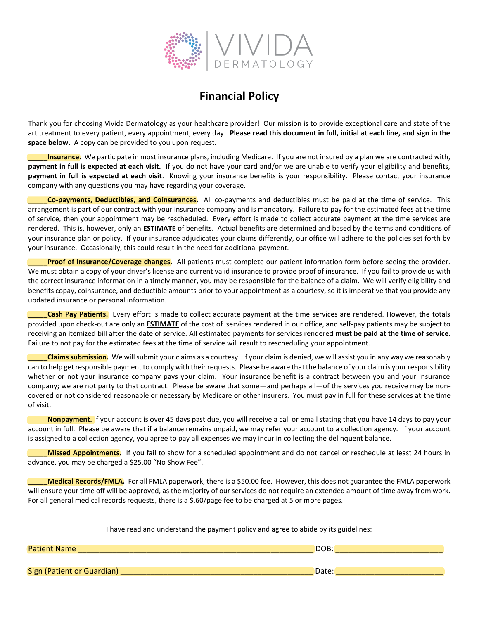

## **Financial Policy**

Thank you for choosing Vivida Dermatology as your healthcare provider! Our mission is to provide exceptional care and state of the art treatment to every patient, every appointment, every day. **Please read this document in full, initial at each line, and sign in the space below.** A copy can be provided to you upon request.

**Insurance**. We participate in most insurance plans, including Medicare. If you are not insured by a plan we are contracted with, **payment in full is expected at each visit.** If you do not have your card and/or we are unable to verify your eligibility and benefits, **payment in full is expected at each visit**. Knowing your insurance benefits is your responsibility. Please contact your insurance company with any questions you may have regarding your coverage.

\_\_\_\_\_**Co-payments, Deductibles, and Coinsurances.** All co-payments and deductibles must be paid at the time of service. This arrangement is part of our contract with your insurance company and is mandatory. Failure to pay for the estimated fees at the time of service, then your appointment may be rescheduled. Every effort is made to collect accurate payment at the time services are rendered. This is, however, only an **ESTIMATE** of benefits. Actual benefits are determined and based by the terms and conditions of your insurance plan or policy. If your insurance adjudicates your claims differently, our office will adhere to the policies set forth by your insurance. Occasionally, this could result in the need for additional payment.

Proof of Insurance/Coverage changes. All patients must complete our patient information form before seeing the provider. We must obtain a copy of your driver's license and current valid insurance to provide proof of insurance. If you fail to provide us with the correct insurance information in a timely manner, you may be responsible for the balance of a claim. We will verify eligibility and benefits copay, coinsurance, and deductible amounts prior to your appointment as a courtesy, so it is imperative that you provide any updated insurance or personal information.

Cash Pay Patients. Every effort is made to collect accurate payment at the time services are rendered. However, the totals provided upon check-out are only an **ESTIMATE** of the cost of services rendered in our office, and self-pay patients may be subject to receiving an itemized bill after the date of service. All estimated payments for services rendered **must be paid at the time of service**. Failure to not pay for the estimated fees at the time of service will result to rescheduling your appointment.

\_\_\_\_\_**Claims submission.** We will submit your claims as a courtesy. If your claim is denied, we will assist you in any way we reasonably can to help get responsible payment to comply with their requests. Please be aware that the balance of your claim is your responsibility whether or not your insurance company pays your claim. Your insurance benefit is a contract between you and your insurance company; we are not party to that contract. Please be aware that some—and perhaps all—of the services you receive may be noncovered or not considered reasonable or necessary by Medicare or other insurers. You must pay in full for these services at the time of visit.

\_\_\_\_\_**Nonpayment.** If your account is over 45 days past due, you will receive a call or email stating that you have 14 days to pay your account in full. Please be aware that if a balance remains unpaid, we may refer your account to a collection agency. If your account is assigned to a collection agency, you agree to pay all expenses we may incur in collecting the delinquent balance.

Missed Appointments. If you fail to show for a scheduled appointment and do not cancel or reschedule at least 24 hours in advance, you may be charged a \$25.00 "No Show Fee".

\_\_\_\_\_**Medical Records/FMLA.** For all FMLA paperwork, there is a \$50.00 fee. However, this does not guarantee the FMLA paperwork will ensure your time off will be approved, as the majority of our services do not require an extended amount of time away from work. For all general medical records requests, there is a \$.60/page fee to be charged at 5 or more pages.

|  | I have read and understand the payment policy and agree to abide by its guidelines: |
|--|-------------------------------------------------------------------------------------|
|--|-------------------------------------------------------------------------------------|

| <b>Patient Name</b>        | DOB:  |
|----------------------------|-------|
|                            |       |
| Sign (Patient or Guardian) | Date: |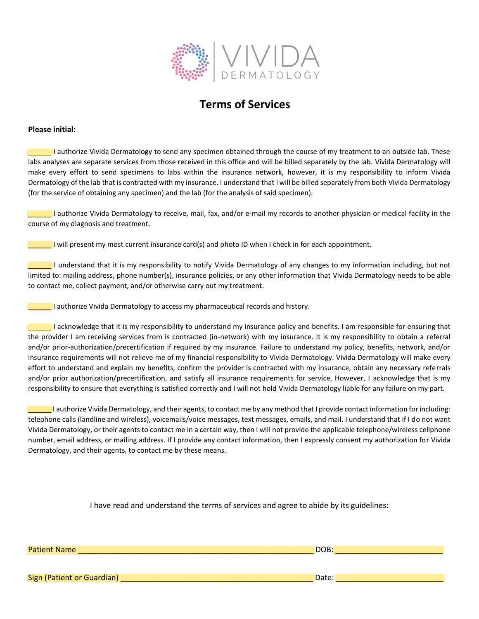

## **Terms of Services**

#### **Please initial:**

**Lauthorize Vivida Dermatology to send any specimen obtained through the course of my treatment to an outside lab. These** labs analyses are separate services from those received in this office and will be billed separately by the lab. Vivida Dermatology will make every effort to send specimens to labs within the insurance network, however, it is my responsibility to inform Vivida Dermatology of the lab that is contracted with my insurance. I understand that I will be billed separately from both Vivida Dermatology (for the service of obtaining any specimen) and the lab (for the analysis of said specimen).

\_\_\_\_\_\_ I authorize Vivida Dermatology to receive, mail, fax, and/or e-mail my records to another physician or medical facility in the course of my diagnosis and treatment.

 $\Box$  I will present my most current insurance card(s) and photo ID when I check in for each appointment.

\_\_\_\_\_\_ I understand that it is my responsibility to notify Vivida Dermatology of any changes to my information including, but not limited to: mailing address, phone number(s), insurance policies, or any other information that Vivida Dermatology needs to be able to contact me, collect payment, and/or otherwise carry out my treatment.

**Example 2** I authorize Vivida Dermatology to access my pharmaceutical records and history.

\_\_\_\_\_\_ I acknowledge that it is my responsibility to understand my insurance policy and benefits. I am responsible for ensuring that the provider I am receiving services from is contracted (in-network) with my insurance. It is my responsibility to obtain a referral and/or prior-authorization/precertification if required by my insurance. Failure to understand my policy, benefits, network, and/or insurance requirements will not relieve me of my financial responsibility to Vivida Dermatology. Vivida Dermatology will make every effort to understand and explain my benefits, confirm the provider is contracted with my insurance, obtain any necessary referrals and/or prior authorization/precertification, and satisfy all insurance requirements for service. However, I acknowledge that is my responsibility to ensure that everything is satisfied correctly and I will not hold Vivida Dermatology liable for any failure on my part.

\_\_\_\_\_\_ I authorize Vivida Dermatology, and their agents, to contact me by any method that I provide contact information for including: telephone calls (landline and wireless), voicemails/voice messages, text messages, emails, and mail. I understand that if I do not want Vivida Dermatology, or their agents to contact me in a certain way, then I will not provide the applicable telephone/wireless cellphone number, email address, or mailing address. If I provide any contact information, then I expressly consent my authorization for Vivida Dermatology, and their agents, to contact me by these means.

I have read and understand the terms of services and agree to abide by its guidelines:

Patient Name \_\_\_\_\_\_\_\_\_\_\_\_\_\_\_\_\_\_\_\_\_\_\_\_\_\_\_\_\_\_\_\_\_\_\_\_\_\_\_\_\_\_\_\_\_\_\_\_\_\_\_\_\_\_\_ DOB: \_\_\_\_\_\_\_\_\_\_\_\_\_\_\_\_\_\_\_\_\_\_\_\_\_

Sign (Patient or Guardian) \_\_\_\_\_\_\_\_\_\_\_\_\_\_\_\_\_\_\_\_\_\_\_\_\_\_\_\_\_\_\_\_\_\_\_\_\_\_\_\_\_\_\_\_\_ Date: \_\_\_\_\_\_\_\_\_\_\_\_\_\_\_\_\_\_\_\_\_\_\_\_\_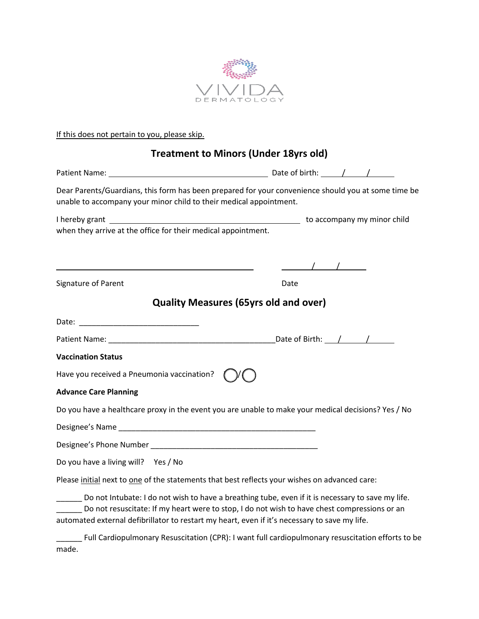

### If this does not pertain to you, please skip.

## **Treatment to Minors (Under 18yrs old)**

| Dear Parents/Guardians, this form has been prepared for your convenience should you at some time be<br>unable to accompany your minor child to their medical appointment.                                                                                                                          |                      |  |
|----------------------------------------------------------------------------------------------------------------------------------------------------------------------------------------------------------------------------------------------------------------------------------------------------|----------------------|--|
| when they arrive at the office for their medical appointment.                                                                                                                                                                                                                                      |                      |  |
|                                                                                                                                                                                                                                                                                                    | $\frac{1}{\sqrt{2}}$ |  |
| Signature of Parent                                                                                                                                                                                                                                                                                | Date                 |  |
| <b>Quality Measures (65yrs old and over)</b>                                                                                                                                                                                                                                                       |                      |  |
|                                                                                                                                                                                                                                                                                                    |                      |  |
|                                                                                                                                                                                                                                                                                                    |                      |  |
| <b>Vaccination Status</b>                                                                                                                                                                                                                                                                          |                      |  |
| Have you received a Pneumonia vaccination?                                                                                                                                                                                                                                                         |                      |  |
| <b>Advance Care Planning</b>                                                                                                                                                                                                                                                                       |                      |  |
| Do you have a healthcare proxy in the event you are unable to make your medical decisions? Yes / No                                                                                                                                                                                                |                      |  |
|                                                                                                                                                                                                                                                                                                    |                      |  |
|                                                                                                                                                                                                                                                                                                    |                      |  |
| Do you have a living will? Yes / No                                                                                                                                                                                                                                                                |                      |  |
| Please initial next to one of the statements that best reflects your wishes on advanced care:                                                                                                                                                                                                      |                      |  |
| Do not Intubate: I do not wish to have a breathing tube, even if it is necessary to save my life.<br>Do not resuscitate: If my heart were to stop, I do not wish to have chest compressions or an<br>automated external defibrillator to restart my heart, even if it's necessary to save my life. |                      |  |
| Full Cardiopulmonary Resuscitation (CPR): I want full cardiopulmonary resuscitation efforts to be<br>made.                                                                                                                                                                                         |                      |  |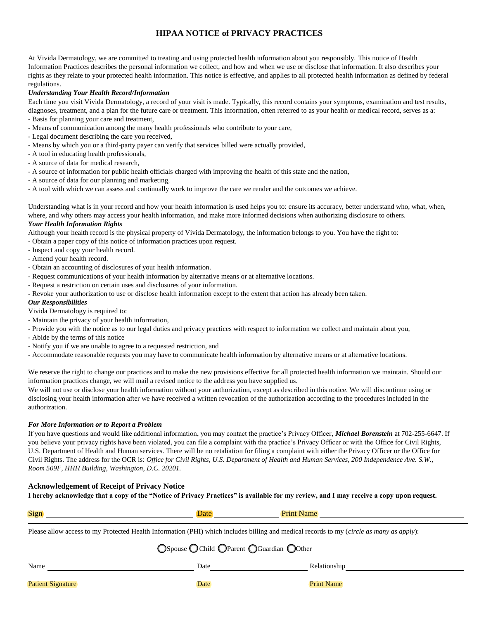### **HIPAA NOTICE of PRIVACY PRACTICES**

At Vivida Dermatology, we are committed to treating and using protected health information about you responsibly. This notice of Health Information Practices describes the personal information we collect, and how and when we use or disclose that information. It also describes your rights as they relate to your protected health information. This notice is effective, and applies to all protected health information as defined by federal regulations.

#### *Understanding Your Health Record/Information*

Each time you visit Vivida Dermatology, a record of your visit is made. Typically, this record contains your symptoms, examination and test results, diagnoses, treatment, and a plan for the future care or treatment. This information, often referred to as your health or medical record, serves as a:

- Basis for planning your care and treatment,
- Means of communication among the many health professionals who contribute to your care,
- Legal document describing the care you received,
- Means by which you or a third-party payer can verify that services billed were actually provided,
- A tool in educating health professionals,
- A source of data for medical research,
- A source of information for public health officials charged with improving the health of this state and the nation,
- A source of data for our planning and marketing,
- A tool with which we can assess and continually work to improve the care we render and the outcomes we achieve.

Understanding what is in your record and how your health information is used helps you to: ensure its accuracy, better understand who, what, when, where, and why others may access your health information, and make more informed decisions when authorizing disclosure to others.

#### *Your Health Information Rights*

Although your health record is the physical property of Vivida Dermatology, the information belongs to you. You have the right to:

- Obtain a paper copy of this notice of information practices upon request.
- Inspect and copy your health record.
- Amend your health record.
- Obtain an accounting of disclosures of your health information.
- Request communications of your health information by alternative means or at alternative locations.
- Request a restriction on certain uses and disclosures of your information.
- Revoke your authorization to use or disclose health information except to the extent that action has already been taken.

#### *Our Responsibilities*

Vivida Dermatology is required to:

- Maintain the privacy of your health information,
- Provide you with the notice as to our legal duties and privacy practices with respect to information we collect and maintain about you,
- Abide by the terms of this notice
- Notify you if we are unable to agree to a requested restriction, and
- Accommodate reasonable requests you may have to communicate health information by alternative means or at alternative locations.

We reserve the right to change our practices and to make the new provisions effective for all protected health information we maintain. Should our information practices change, we will mail a revised notice to the address you have supplied us.

We will not use or disclose your health information without your authorization, except as described in this notice. We will discontinue using or disclosing your health information after we have received a written revocation of the authorization according to the procedures included in the authorization.

#### *For More Information or to Report a Problem*

If you have questions and would like additional information, you may contact the practice's Privacy Officer, *Michael Borenstein* at 702-255-6647. If you believe your privacy rights have been violated, you can file a complaint with the practice's Privacy Officer or with the Office for Civil Rights, U.S. Department of Health and Human services. There will be no retaliation for filing a complaint with either the Privacy Officer or the Office for Civil Rights. The address for the OCR is: *Office for Civil Rights, U.S. Department of Health and Human Services, 200 Independence Ave. S.W., Room 509F, HHH Building, Washington, D.C. 20201.*

#### **Acknowledgement of Receipt of Privacy Notice**

**I hereby acknowledge that a copy of the "Notice of Privacy Practices" is available for my review, and I may receive a copy upon request.**

| Sign | п<br>ıa |
|------|---------|
|      |         |

Please allow access to my Protected Health Information (PHI) which includes billing and medical records to my (*circle as many as apply*):

| OSpouse OChild OParent OGuardian OOther |      |                   |  |  |  |
|-----------------------------------------|------|-------------------|--|--|--|
| Name                                    | Date | Relationship      |  |  |  |
| <b>Patient Signature</b>                | Date | <b>Print Name</b> |  |  |  |